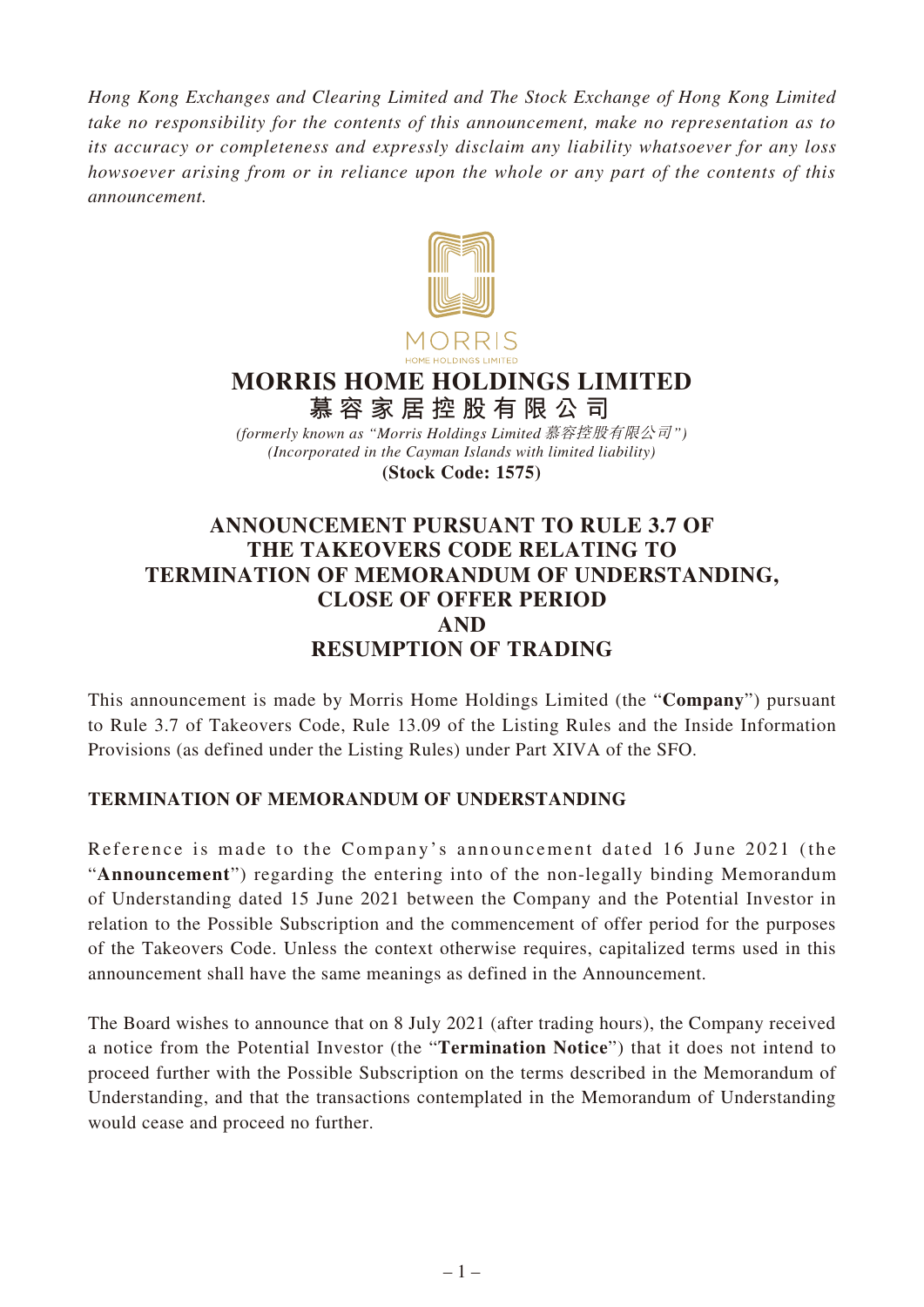*Hong Kong Exchanges and Clearing Limited and The Stock Exchange of Hong Kong Limited take no responsibility for the contents of this announcement, make no representation as to its accuracy or completeness and expressly disclaim any liability whatsoever for any loss howsoever arising from or in reliance upon the whole or any part of the contents of this announcement.*



# **MORRIS HOME HOLDINGS LIMITED 慕容家居控股有限公司**

*(Incorporated in the Cayman Islands with limited liability)* **(Stock Code: 1575)** *(formerly known as "Morris Holdings Limited* 慕容控股有限公司*")*

# **ANNOUNCEMENT PURSUANT TO RULE 3.7 OF THE TAKEOVERS CODE RELATING TO TERMINATION OF MEMORANDUM OF UNDERSTANDING, CLOSE OF OFFER PERIOD AND RESUMPTION OF TRADING**

This announcement is made by Morris Home Holdings Limited (the "**Company**") pursuant to Rule 3.7 of Takeovers Code, Rule 13.09 of the Listing Rules and the Inside Information Provisions (as defined under the Listing Rules) under Part XIVA of the SFO.

#### **TERMINATION OF MEMORANDUM OF UNDERSTANDING**

Reference is made to the Company's announcement dated 16 June 2021 (the "**Announcement**") regarding the entering into of the non-legally binding Memorandum of Understanding dated 15 June 2021 between the Company and the Potential Investor in relation to the Possible Subscription and the commencement of offer period for the purposes of the Takeovers Code. Unless the context otherwise requires, capitalized terms used in this announcement shall have the same meanings as defined in the Announcement.

The Board wishes to announce that on 8 July 2021 (after trading hours), the Company received a notice from the Potential Investor (the "**Termination Notice**") that it does not intend to proceed further with the Possible Subscription on the terms described in the Memorandum of Understanding, and that the transactions contemplated in the Memorandum of Understanding would cease and proceed no further.